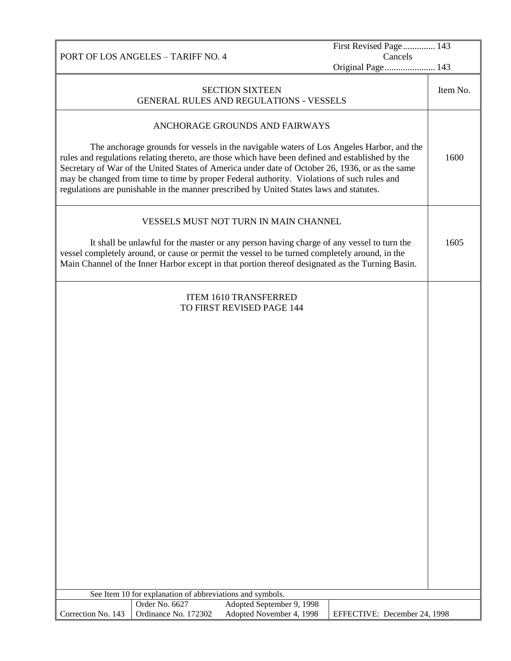First Revised Page .............. 143

Cancels

|                    |                                                           |                                                                                                                                                                                                                                                                                                                                                                                                                                                                                          | Original Page 143            |          |
|--------------------|-----------------------------------------------------------|------------------------------------------------------------------------------------------------------------------------------------------------------------------------------------------------------------------------------------------------------------------------------------------------------------------------------------------------------------------------------------------------------------------------------------------------------------------------------------------|------------------------------|----------|
|                    |                                                           | <b>SECTION SIXTEEN</b><br>GENERAL RULES AND REGULATIONS - VESSELS                                                                                                                                                                                                                                                                                                                                                                                                                        |                              | Item No. |
|                    |                                                           | ANCHORAGE GROUNDS AND FAIRWAYS                                                                                                                                                                                                                                                                                                                                                                                                                                                           |                              |          |
|                    |                                                           | The anchorage grounds for vessels in the navigable waters of Los Angeles Harbor, and the<br>rules and regulations relating thereto, are those which have been defined and established by the<br>Secretary of War of the United States of America under date of October 26, 1936, or as the same<br>may be changed from time to time by proper Federal authority. Violations of such rules and<br>regulations are punishable in the manner prescribed by United States laws and statutes. |                              | 1600     |
|                    |                                                           | VESSELS MUST NOT TURN IN MAIN CHANNEL                                                                                                                                                                                                                                                                                                                                                                                                                                                    |                              |          |
|                    |                                                           | It shall be unlawful for the master or any person having charge of any vessel to turn the<br>vessel completely around, or cause or permit the vessel to be turned completely around, in the<br>Main Channel of the Inner Harbor except in that portion thereof designated as the Turning Basin.                                                                                                                                                                                          |                              | 1605     |
|                    |                                                           | <b>ITEM 1610 TRANSFERRED</b><br>TO FIRST REVISED PAGE 144                                                                                                                                                                                                                                                                                                                                                                                                                                |                              |          |
|                    |                                                           |                                                                                                                                                                                                                                                                                                                                                                                                                                                                                          |                              |          |
|                    |                                                           |                                                                                                                                                                                                                                                                                                                                                                                                                                                                                          |                              |          |
|                    |                                                           |                                                                                                                                                                                                                                                                                                                                                                                                                                                                                          |                              |          |
|                    |                                                           |                                                                                                                                                                                                                                                                                                                                                                                                                                                                                          |                              |          |
|                    |                                                           |                                                                                                                                                                                                                                                                                                                                                                                                                                                                                          |                              |          |
|                    |                                                           |                                                                                                                                                                                                                                                                                                                                                                                                                                                                                          |                              |          |
|                    |                                                           |                                                                                                                                                                                                                                                                                                                                                                                                                                                                                          |                              |          |
|                    |                                                           |                                                                                                                                                                                                                                                                                                                                                                                                                                                                                          |                              |          |
|                    |                                                           |                                                                                                                                                                                                                                                                                                                                                                                                                                                                                          |                              |          |
|                    |                                                           |                                                                                                                                                                                                                                                                                                                                                                                                                                                                                          |                              |          |
|                    |                                                           |                                                                                                                                                                                                                                                                                                                                                                                                                                                                                          |                              |          |
|                    |                                                           |                                                                                                                                                                                                                                                                                                                                                                                                                                                                                          |                              |          |
|                    |                                                           |                                                                                                                                                                                                                                                                                                                                                                                                                                                                                          |                              |          |
|                    |                                                           |                                                                                                                                                                                                                                                                                                                                                                                                                                                                                          |                              |          |
|                    |                                                           |                                                                                                                                                                                                                                                                                                                                                                                                                                                                                          |                              |          |
|                    |                                                           |                                                                                                                                                                                                                                                                                                                                                                                                                                                                                          |                              |          |
|                    |                                                           |                                                                                                                                                                                                                                                                                                                                                                                                                                                                                          |                              |          |
|                    |                                                           |                                                                                                                                                                                                                                                                                                                                                                                                                                                                                          |                              |          |
|                    |                                                           |                                                                                                                                                                                                                                                                                                                                                                                                                                                                                          |                              |          |
|                    | See Item 10 for explanation of abbreviations and symbols. |                                                                                                                                                                                                                                                                                                                                                                                                                                                                                          |                              |          |
|                    | Order No. 6627                                            | Adopted September 9, 1998                                                                                                                                                                                                                                                                                                                                                                                                                                                                |                              |          |
| Correction No. 143 | Ordinance No. 172302                                      | Adopted November 4, 1998                                                                                                                                                                                                                                                                                                                                                                                                                                                                 | EFFECTIVE: December 24, 1998 |          |

PORT OF LOS ANGELES – TARIFF NO. 4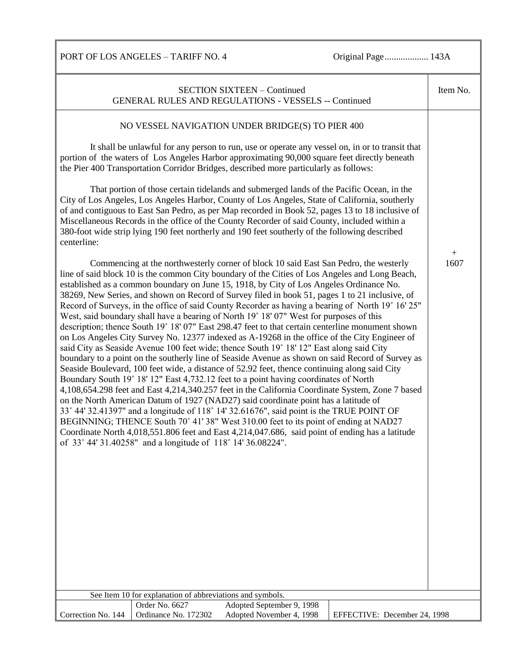PORT OF LOS ANGELES – TARIFF NO. 4 Original Page...................... 143A

| <b>SECTION SIXTEEN - Continued</b><br><b>GENERAL RULES AND REGULATIONS - VESSELS -- Continued</b>                                                                                                                                                                                                                                                                                                                                                                                                                                                                                                                                                                                                                                                                                                                                                                                                                                                                                                                                                                                                                                                                                                                                                                                                                                                                                                                                                                                                                                                                                                                                                                                                                                  |                              | Item No.    |
|------------------------------------------------------------------------------------------------------------------------------------------------------------------------------------------------------------------------------------------------------------------------------------------------------------------------------------------------------------------------------------------------------------------------------------------------------------------------------------------------------------------------------------------------------------------------------------------------------------------------------------------------------------------------------------------------------------------------------------------------------------------------------------------------------------------------------------------------------------------------------------------------------------------------------------------------------------------------------------------------------------------------------------------------------------------------------------------------------------------------------------------------------------------------------------------------------------------------------------------------------------------------------------------------------------------------------------------------------------------------------------------------------------------------------------------------------------------------------------------------------------------------------------------------------------------------------------------------------------------------------------------------------------------------------------------------------------------------------------|------------------------------|-------------|
| NO VESSEL NAVIGATION UNDER BRIDGE(S) TO PIER 400                                                                                                                                                                                                                                                                                                                                                                                                                                                                                                                                                                                                                                                                                                                                                                                                                                                                                                                                                                                                                                                                                                                                                                                                                                                                                                                                                                                                                                                                                                                                                                                                                                                                                   |                              |             |
| It shall be unlawful for any person to run, use or operate any vessel on, in or to transit that<br>portion of the waters of Los Angeles Harbor approximating 90,000 square feet directly beneath<br>the Pier 400 Transportation Corridor Bridges, described more particularly as follows:                                                                                                                                                                                                                                                                                                                                                                                                                                                                                                                                                                                                                                                                                                                                                                                                                                                                                                                                                                                                                                                                                                                                                                                                                                                                                                                                                                                                                                          |                              |             |
| That portion of those certain tidelands and submerged lands of the Pacific Ocean, in the<br>City of Los Angeles, Los Angeles Harbor, County of Los Angeles, State of California, southerly<br>of and contiguous to East San Pedro, as per Map recorded in Book 52, pages 13 to 18 inclusive of<br>Miscellaneous Records in the office of the County Recorder of said County, included within a<br>380-foot wide strip lying 190 feet northerly and 190 feet southerly of the following described<br>centerline:                                                                                                                                                                                                                                                                                                                                                                                                                                                                                                                                                                                                                                                                                                                                                                                                                                                                                                                                                                                                                                                                                                                                                                                                                    |                              |             |
| Commencing at the northwesterly corner of block 10 said East San Pedro, the westerly<br>line of said block 10 is the common City boundary of the Cities of Los Angeles and Long Beach,<br>established as a common boundary on June 15, 1918, by City of Los Angeles Ordinance No.<br>38269, New Series, and shown on Record of Survey filed in book 51, pages 1 to 21 inclusive, of<br>Record of Surveys, in the office of said County Recorder as having a bearing of North 19° 16' 25"<br>West, said boundary shall have a bearing of North 19° 18' 07" West for purposes of this<br>description; thence South 19° 18' 07" East 298.47 feet to that certain centerline monument shown<br>on Los Angeles City Survey No. 12377 indexed as A-19268 in the office of the City Engineer of<br>said City as Seaside Avenue 100 feet wide; thence South 19° 18' 12" East along said City<br>boundary to a point on the southerly line of Seaside Avenue as shown on said Record of Survey as<br>Seaside Boulevard, 100 feet wide, a distance of 52.92 feet, thence continuing along said City<br>Boundary South 19° 18′ 12″ East 4,732.12 feet to a point having coordinates of North<br>4,108,654.298 feet and East 4,214,340.257 feet in the California Coordinate System, Zone 7 based<br>on the North American Datum of 1927 (NAD27) said coordinate point has a latitude of<br>33° 44' 32.41397" and a longitude of 118° 14' 32.61676", said point is the TRUE POINT OF<br>BEGINNING; THENCE South 70° 41' 38" West 310.00 feet to its point of ending at NAD27<br>Coordinate North 4,018,551.806 feet and East 4,214,047.686, said point of ending has a latitude<br>of 33° 44' 31.40258" and a longitude of 118° 14' 36.08224". |                              | $+$<br>1607 |
| See Item 10 for explanation of abbreviations and symbols.                                                                                                                                                                                                                                                                                                                                                                                                                                                                                                                                                                                                                                                                                                                                                                                                                                                                                                                                                                                                                                                                                                                                                                                                                                                                                                                                                                                                                                                                                                                                                                                                                                                                          |                              |             |
| Order No. 6627<br>Adopted September 9, 1998<br>Ordinance No. 172302<br>Correction No. 144<br>Adopted November 4, 1998                                                                                                                                                                                                                                                                                                                                                                                                                                                                                                                                                                                                                                                                                                                                                                                                                                                                                                                                                                                                                                                                                                                                                                                                                                                                                                                                                                                                                                                                                                                                                                                                              | EFFECTIVE: December 24, 1998 |             |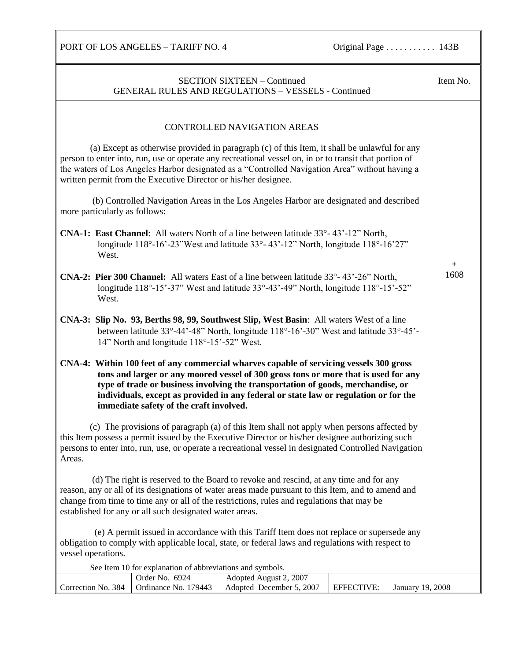PORT OF LOS ANGELES – TARIFF NO. 4 Original Page . . . . . . . . . . . 143B

| <b>SECTION SIXTEEN - Continued</b><br><b>GENERAL RULES AND REGULATIONS - VESSELS - Continued</b>                                                                                                                                                                                                                                                                                                      | Item No. |
|-------------------------------------------------------------------------------------------------------------------------------------------------------------------------------------------------------------------------------------------------------------------------------------------------------------------------------------------------------------------------------------------------------|----------|
|                                                                                                                                                                                                                                                                                                                                                                                                       |          |
|                                                                                                                                                                                                                                                                                                                                                                                                       |          |
| CONTROLLED NAVIGATION AREAS                                                                                                                                                                                                                                                                                                                                                                           |          |
|                                                                                                                                                                                                                                                                                                                                                                                                       |          |
| (a) Except as otherwise provided in paragraph (c) of this Item, it shall be unlawful for any<br>person to enter into, run, use or operate any recreational vessel on, in or to transit that portion of<br>the waters of Los Angeles Harbor designated as a "Controlled Navigation Area" without having a<br>written permit from the Executive Director or his/her designee.                           |          |
| (b) Controlled Navigation Areas in the Los Angeles Harbor are designated and described<br>more particularly as follows:                                                                                                                                                                                                                                                                               |          |
| <b>CNA-1: East Channel:</b> All waters North of a line between latitude $33^{\circ}$ - $43^{\circ}$ - $12^{\circ}$ North,<br>longitude 118°-16'-23" West and latitude 33°-43'-12" North, longitude 118°-16'27"<br>West.                                                                                                                                                                               | $+$      |
| CNA-2: Pier 300 Channel: All waters East of a line between latitude 33°-43'-26" North,<br>longitude $118^{\circ} - 15^{\circ} - 37^{\circ}$ West and latitude $33^{\circ} - 43^{\circ} - 49^{\circ}$ North, longitude $118^{\circ} - 15^{\circ} - 52^{\circ}$<br>West.                                                                                                                                | 1608     |
| CNA-3: Slip No. 93, Berths 98, 99, Southwest Slip, West Basin: All waters West of a line<br>between latitude 33°-44'-48" North, longitude 118°-16'-30" West and latitude 33°-45'-<br>14" North and longitude 118°-15'-52" West.                                                                                                                                                                       |          |
| CNA-4: Within 100 feet of any commercial wharves capable of servicing vessels 300 gross<br>tons and larger or any moored vessel of 300 gross tons or more that is used for any<br>type of trade or business involving the transportation of goods, merchandise, or<br>individuals, except as provided in any federal or state law or regulation or for the<br>immediate safety of the craft involved. |          |
| (c) The provisions of paragraph (a) of this Item shall not apply when persons affected by<br>this Item possess a permit issued by the Executive Director or his/her designee authorizing such<br>persons to enter into, run, use, or operate a recreational vessel in designated Controlled Navigation<br>Areas.                                                                                      |          |
| (d) The right is reserved to the Board to revoke and rescind, at any time and for any<br>reason, any or all of its designations of water areas made pursuant to this Item, and to amend and<br>change from time to time any or all of the restrictions, rules and regulations that may be<br>established for any or all such designated water areas.                                                  |          |
| (e) A permit issued in accordance with this Tariff Item does not replace or supersede any<br>obligation to comply with applicable local, state, or federal laws and regulations with respect to<br>vessel operations.                                                                                                                                                                                 |          |
|                                                                                                                                                                                                                                                                                                                                                                                                       |          |
| See Item 10 for explanation of abbreviations and symbols.<br>Order No. 6924<br>Adopted August 2, 2007                                                                                                                                                                                                                                                                                                 |          |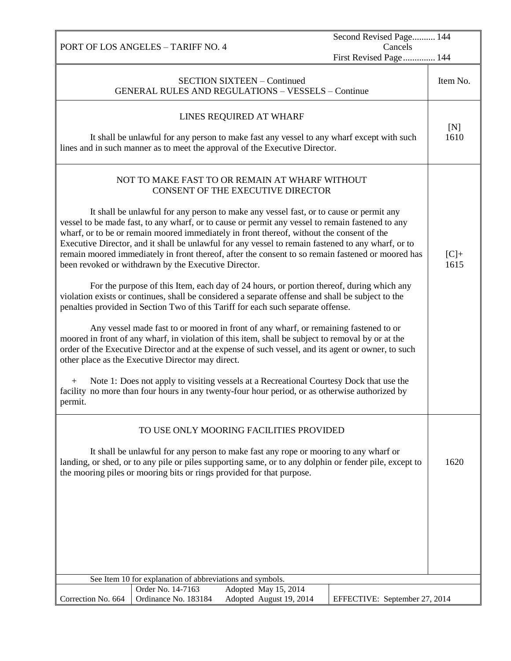| PORT OF LOS ANGELES - TARIFF NO. 4                                                                                                                                                                                                                                                                                                                                                                                                                                                                                                                                                                                                                                                                                                                                                                                                                                                                                                                                                                                                                                                                                                                                                                                                                                                                                                                                                                                                                                                                            | Second Revised Page 144<br>Cancels<br>First Revised Page 144 |                |
|---------------------------------------------------------------------------------------------------------------------------------------------------------------------------------------------------------------------------------------------------------------------------------------------------------------------------------------------------------------------------------------------------------------------------------------------------------------------------------------------------------------------------------------------------------------------------------------------------------------------------------------------------------------------------------------------------------------------------------------------------------------------------------------------------------------------------------------------------------------------------------------------------------------------------------------------------------------------------------------------------------------------------------------------------------------------------------------------------------------------------------------------------------------------------------------------------------------------------------------------------------------------------------------------------------------------------------------------------------------------------------------------------------------------------------------------------------------------------------------------------------------|--------------------------------------------------------------|----------------|
| <b>SECTION SIXTEEN - Continued</b><br><b>GENERAL RULES AND REGULATIONS - VESSELS - Continue</b>                                                                                                                                                                                                                                                                                                                                                                                                                                                                                                                                                                                                                                                                                                                                                                                                                                                                                                                                                                                                                                                                                                                                                                                                                                                                                                                                                                                                               |                                                              | Item No.       |
| LINES REQUIRED AT WHARF<br>It shall be unlawful for any person to make fast any vessel to any wharf except with such<br>lines and in such manner as to meet the approval of the Executive Director.                                                                                                                                                                                                                                                                                                                                                                                                                                                                                                                                                                                                                                                                                                                                                                                                                                                                                                                                                                                                                                                                                                                                                                                                                                                                                                           |                                                              | [N]<br>1610    |
| NOT TO MAKE FAST TO OR REMAIN AT WHARF WITHOUT<br>CONSENT OF THE EXECUTIVE DIRECTOR<br>It shall be unlawful for any person to make any vessel fast, or to cause or permit any<br>vessel to be made fast, to any wharf, or to cause or permit any vessel to remain fastened to any<br>wharf, or to be or remain moored immediately in front thereof, without the consent of the<br>Executive Director, and it shall be unlawful for any vessel to remain fastened to any wharf, or to<br>remain moored immediately in front thereof, after the consent to so remain fastened or moored has<br>been revoked or withdrawn by the Executive Director.<br>For the purpose of this Item, each day of 24 hours, or portion thereof, during which any<br>violation exists or continues, shall be considered a separate offense and shall be subject to the<br>penalties provided in Section Two of this Tariff for each such separate offense.<br>Any vessel made fast to or moored in front of any wharf, or remaining fastened to or<br>moored in front of any wharf, in violation of this item, shall be subject to removal by or at the<br>order of the Executive Director and at the expense of such vessel, and its agent or owner, to such<br>other place as the Executive Director may direct.<br>Note 1: Does not apply to visiting vessels at a Recreational Courtesy Dock that use the<br>$+$<br>facility no more than four hours in any twenty-four hour period, or as otherwise authorized by<br>permit. |                                                              | $[C]+$<br>1615 |
| TO USE ONLY MOORING FACILITIES PROVIDED<br>It shall be unlawful for any person to make fast any rope or mooring to any wharf or<br>landing, or shed, or to any pile or piles supporting same, or to any dolphin or fender pile, except to<br>the mooring piles or mooring bits or rings provided for that purpose.                                                                                                                                                                                                                                                                                                                                                                                                                                                                                                                                                                                                                                                                                                                                                                                                                                                                                                                                                                                                                                                                                                                                                                                            |                                                              | 1620           |
| See Item 10 for explanation of abbreviations and symbols.<br>Adopted May 15, 2014<br>Order No. 14-7163                                                                                                                                                                                                                                                                                                                                                                                                                                                                                                                                                                                                                                                                                                                                                                                                                                                                                                                                                                                                                                                                                                                                                                                                                                                                                                                                                                                                        |                                                              |                |
| Ordinance No. 183184<br>Adopted August 19, 2014<br>Correction No. 664                                                                                                                                                                                                                                                                                                                                                                                                                                                                                                                                                                                                                                                                                                                                                                                                                                                                                                                                                                                                                                                                                                                                                                                                                                                                                                                                                                                                                                         | EFFECTIVE: September 27, 2014                                |                |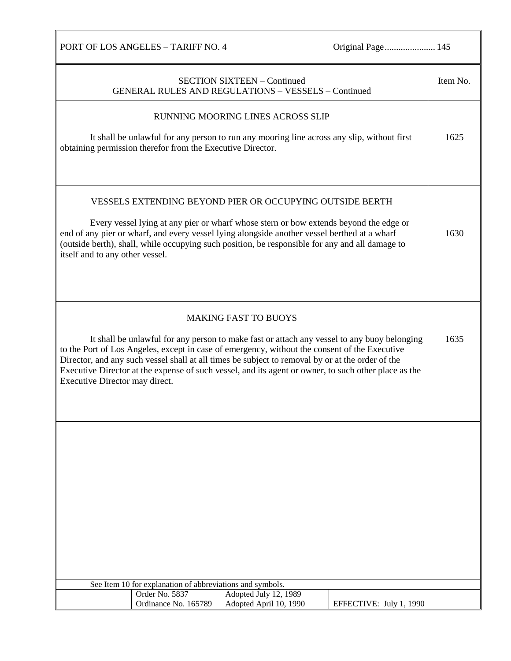| PORT OF LOS ANGELES - TARIFF NO. 4                                                                                                                                                                                                                                                                                                                                                                                                         | Original Page 145       |          |
|--------------------------------------------------------------------------------------------------------------------------------------------------------------------------------------------------------------------------------------------------------------------------------------------------------------------------------------------------------------------------------------------------------------------------------------------|-------------------------|----------|
| <b>SECTION SIXTEEN - Continued</b><br><b>GENERAL RULES AND REGULATIONS - VESSELS - Continued</b>                                                                                                                                                                                                                                                                                                                                           |                         | Item No. |
| RUNNING MOORING LINES ACROSS SLIP                                                                                                                                                                                                                                                                                                                                                                                                          |                         |          |
| It shall be unlawful for any person to run any mooring line across any slip, without first<br>obtaining permission therefor from the Executive Director.                                                                                                                                                                                                                                                                                   |                         | 1625     |
| <b>VESSELS EXTENDING BEYOND PIER OR OCCUPYING OUTSIDE BERTH</b><br>Every vessel lying at any pier or wharf whose stern or bow extends beyond the edge or<br>end of any pier or wharf, and every vessel lying alongside another vessel berthed at a wharf<br>(outside berth), shall, while occupying such position, be responsible for any and all damage to<br>itself and to any other vessel.                                             |                         | 1630     |
| <b>MAKING FAST TO BUOYS</b>                                                                                                                                                                                                                                                                                                                                                                                                                |                         |          |
| It shall be unlawful for any person to make fast or attach any vessel to any buoy belonging<br>to the Port of Los Angeles, except in case of emergency, without the consent of the Executive<br>Director, and any such vessel shall at all times be subject to removal by or at the order of the<br>Executive Director at the expense of such vessel, and its agent or owner, to such other place as the<br>Executive Director may direct. |                         | 1635     |
|                                                                                                                                                                                                                                                                                                                                                                                                                                            |                         |          |
|                                                                                                                                                                                                                                                                                                                                                                                                                                            |                         |          |
| See Item 10 for explanation of abbreviations and symbols.<br>Order No. 5837<br>Adopted July 12, 1989                                                                                                                                                                                                                                                                                                                                       |                         |          |
| Ordinance No. 165789<br>Adopted April 10, 1990                                                                                                                                                                                                                                                                                                                                                                                             | EFFECTIVE: July 1, 1990 |          |

Г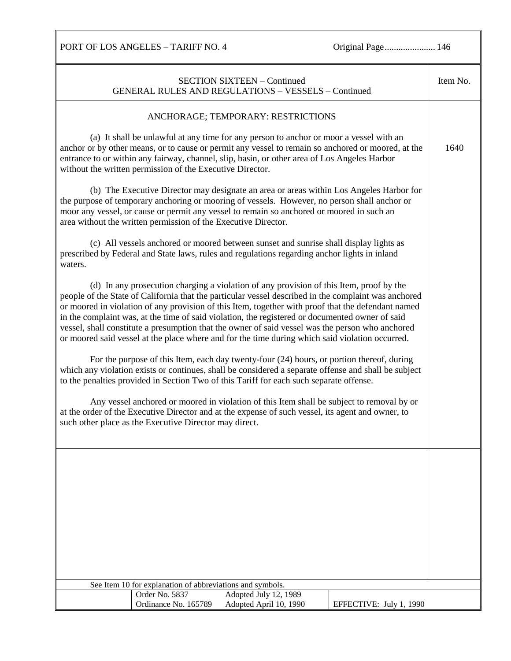|                                                                                                                                                                                                                                                                                                                                                                                                                                                                                                                                                                                                                 |                                                                | <b>SECTION SIXTEEN - Continued</b><br><b>GENERAL RULES AND REGULATIONS - VESSELS - Continued</b>                                                                                                                                                                                             |                         | Item No. |
|-----------------------------------------------------------------------------------------------------------------------------------------------------------------------------------------------------------------------------------------------------------------------------------------------------------------------------------------------------------------------------------------------------------------------------------------------------------------------------------------------------------------------------------------------------------------------------------------------------------------|----------------------------------------------------------------|----------------------------------------------------------------------------------------------------------------------------------------------------------------------------------------------------------------------------------------------------------------------------------------------|-------------------------|----------|
|                                                                                                                                                                                                                                                                                                                                                                                                                                                                                                                                                                                                                 |                                                                | ANCHORAGE; TEMPORARY: RESTRICTIONS                                                                                                                                                                                                                                                           |                         |          |
|                                                                                                                                                                                                                                                                                                                                                                                                                                                                                                                                                                                                                 |                                                                |                                                                                                                                                                                                                                                                                              |                         |          |
|                                                                                                                                                                                                                                                                                                                                                                                                                                                                                                                                                                                                                 | without the written permission of the Executive Director.      | (a) It shall be unlawful at any time for any person to anchor or moor a vessel with an<br>anchor or by other means, or to cause or permit any vessel to remain so anchored or moored, at the<br>entrance to or within any fairway, channel, slip, basin, or other area of Los Angeles Harbor |                         | 1640     |
|                                                                                                                                                                                                                                                                                                                                                                                                                                                                                                                                                                                                                 | area without the written permission of the Executive Director. | (b) The Executive Director may designate an area or areas within Los Angeles Harbor for<br>the purpose of temporary anchoring or mooring of vessels. However, no person shall anchor or<br>moor any vessel, or cause or permit any vessel to remain so anchored or moored in such an         |                         |          |
| waters.                                                                                                                                                                                                                                                                                                                                                                                                                                                                                                                                                                                                         |                                                                | (c) All vessels anchored or moored between sunset and sunrise shall display lights as<br>prescribed by Federal and State laws, rules and regulations regarding anchor lights in inland                                                                                                       |                         |          |
| (d) In any prosecution charging a violation of any provision of this Item, proof by the<br>people of the State of California that the particular vessel described in the complaint was anchored<br>or moored in violation of any provision of this Item, together with proof that the defendant named<br>in the complaint was, at the time of said violation, the registered or documented owner of said<br>vessel, shall constitute a presumption that the owner of said vessel was the person who anchored<br>or moored said vessel at the place where and for the time during which said violation occurred. |                                                                |                                                                                                                                                                                                                                                                                              |                         |          |
| For the purpose of this Item, each day twenty-four (24) hours, or portion thereof, during<br>which any violation exists or continues, shall be considered a separate offense and shall be subject<br>to the penalties provided in Section Two of this Tariff for each such separate offense.                                                                                                                                                                                                                                                                                                                    |                                                                |                                                                                                                                                                                                                                                                                              |                         |          |
|                                                                                                                                                                                                                                                                                                                                                                                                                                                                                                                                                                                                                 | such other place as the Executive Director may direct.         | Any vessel anchored or moored in violation of this Item shall be subject to removal by or<br>at the order of the Executive Director and at the expense of such vessel, its agent and owner, to                                                                                               |                         |          |
|                                                                                                                                                                                                                                                                                                                                                                                                                                                                                                                                                                                                                 |                                                                |                                                                                                                                                                                                                                                                                              |                         |          |
|                                                                                                                                                                                                                                                                                                                                                                                                                                                                                                                                                                                                                 |                                                                |                                                                                                                                                                                                                                                                                              |                         |          |
|                                                                                                                                                                                                                                                                                                                                                                                                                                                                                                                                                                                                                 |                                                                |                                                                                                                                                                                                                                                                                              |                         |          |
|                                                                                                                                                                                                                                                                                                                                                                                                                                                                                                                                                                                                                 |                                                                |                                                                                                                                                                                                                                                                                              |                         |          |
|                                                                                                                                                                                                                                                                                                                                                                                                                                                                                                                                                                                                                 |                                                                |                                                                                                                                                                                                                                                                                              |                         |          |
|                                                                                                                                                                                                                                                                                                                                                                                                                                                                                                                                                                                                                 | See Item 10 for explanation of abbreviations and symbols.      |                                                                                                                                                                                                                                                                                              |                         |          |
|                                                                                                                                                                                                                                                                                                                                                                                                                                                                                                                                                                                                                 | Order No. 5837                                                 | Adopted July 12, 1989                                                                                                                                                                                                                                                                        |                         |          |
|                                                                                                                                                                                                                                                                                                                                                                                                                                                                                                                                                                                                                 | Ordinance No. 165789                                           | Adopted April 10, 1990                                                                                                                                                                                                                                                                       | EFFECTIVE: July 1, 1990 |          |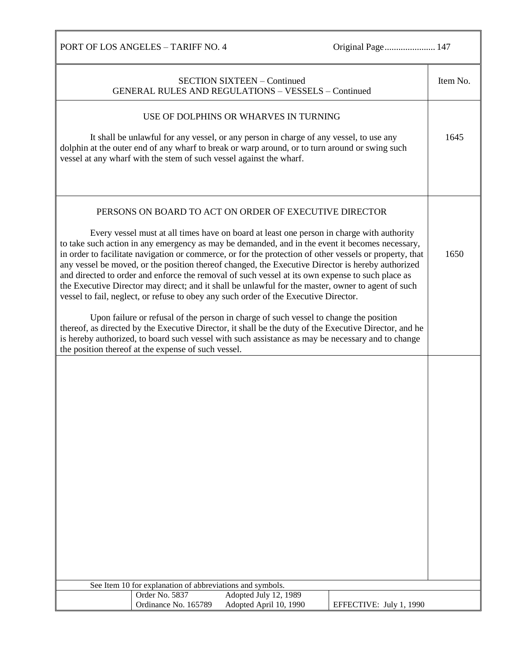|                                                                             | <b>SECTION SIXTEEN - Continued</b><br><b>GENERAL RULES AND REGULATIONS - VESSELS - Continued</b>                                                                                                                                                                                                                                                                                                                                                                                                                                                                                                                                                                                                                                                                                                                                                                                                                                                                                                                                                                                 |                         | Item No. |
|-----------------------------------------------------------------------------|----------------------------------------------------------------------------------------------------------------------------------------------------------------------------------------------------------------------------------------------------------------------------------------------------------------------------------------------------------------------------------------------------------------------------------------------------------------------------------------------------------------------------------------------------------------------------------------------------------------------------------------------------------------------------------------------------------------------------------------------------------------------------------------------------------------------------------------------------------------------------------------------------------------------------------------------------------------------------------------------------------------------------------------------------------------------------------|-------------------------|----------|
| vessel at any wharf with the stem of such vessel against the wharf.         | USE OF DOLPHINS OR WHARVES IN TURNING<br>It shall be unlawful for any vessel, or any person in charge of any vessel, to use any<br>dolphin at the outer end of any wharf to break or warp around, or to turn around or swing such                                                                                                                                                                                                                                                                                                                                                                                                                                                                                                                                                                                                                                                                                                                                                                                                                                                |                         | 1645     |
| the position thereof at the expense of such vessel.                         | PERSONS ON BOARD TO ACT ON ORDER OF EXECUTIVE DIRECTOR<br>Every vessel must at all times have on board at least one person in charge with authority<br>to take such action in any emergency as may be demanded, and in the event it becomes necessary,<br>in order to facilitate navigation or commerce, or for the protection of other vessels or property, that<br>any vessel be moved, or the position thereof changed, the Executive Director is hereby authorized<br>and directed to order and enforce the removal of such vessel at its own expense to such place as<br>the Executive Director may direct; and it shall be unlawful for the master, owner to agent of such<br>vessel to fail, neglect, or refuse to obey any such order of the Executive Director.<br>Upon failure or refusal of the person in charge of such vessel to change the position<br>thereof, as directed by the Executive Director, it shall be the duty of the Executive Director, and he<br>is hereby authorized, to board such vessel with such assistance as may be necessary and to change |                         | 1650     |
|                                                                             |                                                                                                                                                                                                                                                                                                                                                                                                                                                                                                                                                                                                                                                                                                                                                                                                                                                                                                                                                                                                                                                                                  |                         |          |
| See Item 10 for explanation of abbreviations and symbols.<br>Order No. 5837 | Adopted July 12, 1989                                                                                                                                                                                                                                                                                                                                                                                                                                                                                                                                                                                                                                                                                                                                                                                                                                                                                                                                                                                                                                                            |                         |          |
| Ordinance No. 165789                                                        | Adopted April 10, 1990                                                                                                                                                                                                                                                                                                                                                                                                                                                                                                                                                                                                                                                                                                                                                                                                                                                                                                                                                                                                                                                           | EFFECTIVE: July 1, 1990 |          |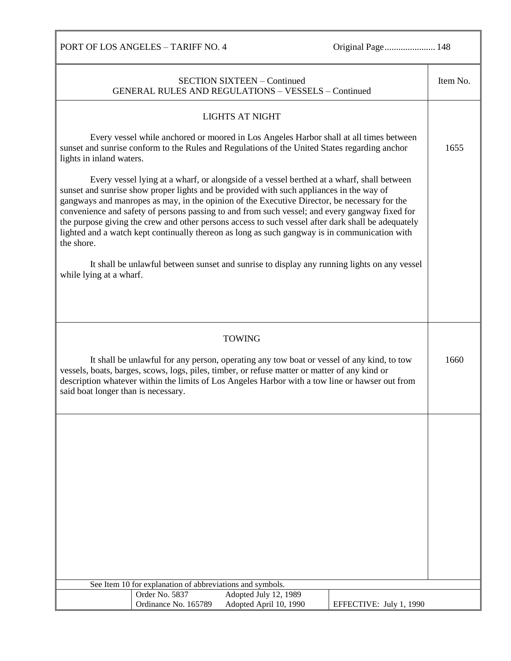PORT OF LOS ANGELES - TARIFF NO. 4 Original Page........................... 148 SECTION SIXTEEN – Continued GENERAL RULES AND REGULATIONS – VESSELS – Continued Item No. LIGHTS AT NIGHT Every vessel while anchored or moored in Los Angeles Harbor shall at all times between sunset and sunrise conform to the Rules and Regulations of the United States regarding anchor lights in inland waters. Every vessel lying at a wharf, or alongside of a vessel berthed at a wharf, shall between sunset and sunrise show proper lights and be provided with such appliances in the way of gangways and manropes as may, in the opinion of the Executive Director, be necessary for the convenience and safety of persons passing to and from such vessel; and every gangway fixed for the purpose giving the crew and other persons access to such vessel after dark shall be adequately lighted and a watch kept continually thereon as long as such gangway is in communication with the shore. It shall be unlawful between sunset and sunrise to display any running lights on any vessel while lying at a wharf. 1655 TOWING It shall be unlawful for any person, operating any tow boat or vessel of any kind, to tow vessels, boats, barges, scows, logs, piles, timber, or refuse matter or matter of any kind or description whatever within the limits of Los Angeles Harbor with a tow line or hawser out from said boat longer than is necessary. 1660 See Item 10 for explanation of abbreviations and symbols. Order No. 5837 Adopted July 12, 1989 Ordinance No. 165789 Adopted April 10, 1990 | EFFECTIVE: July 1, 1990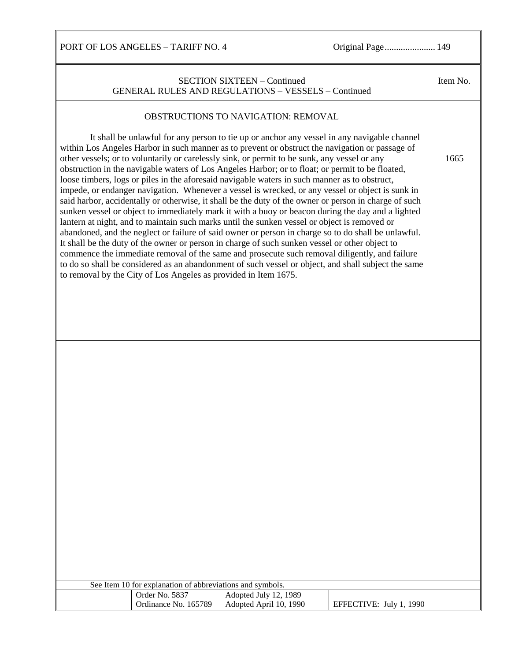| Item No.<br><b>SECTION SIXTEEN - Continued</b><br><b>GENERAL RULES AND REGULATIONS - VESSELS - Continued</b><br>OBSTRUCTIONS TO NAVIGATION: REMOVAL<br>It shall be unlawful for any person to tie up or anchor any vessel in any navigable channel<br>within Los Angeles Harbor in such manner as to prevent or obstruct the navigation or passage of<br>other vessels; or to voluntarily or carelessly sink, or permit to be sunk, any vessel or any<br>1665<br>obstruction in the navigable waters of Los Angeles Harbor; or to float; or permit to be floated,<br>loose timbers, logs or piles in the aforesaid navigable waters in such manner as to obstruct,<br>impede, or endanger navigation. Whenever a vessel is wrecked, or any vessel or object is sunk in<br>said harbor, accidentally or otherwise, it shall be the duty of the owner or person in charge of such<br>sunken vessel or object to immediately mark it with a buoy or beacon during the day and a lighted<br>lantern at night, and to maintain such marks until the sunken vessel or object is removed or<br>abandoned, and the neglect or failure of said owner or person in charge so to do shall be unlawful.<br>It shall be the duty of the owner or person in charge of such sunken vessel or other object to<br>commence the immediate removal of the same and prosecute such removal diligently, and failure<br>to do so shall be considered as an abandonment of such vessel or object, and shall subject the same<br>to removal by the City of Los Angeles as provided in Item 1675.<br>See Item 10 for explanation of abbreviations and symbols.<br>Order No. 5837<br>Adopted July 12, 1989<br>Ordinance No. 165789<br>Adopted April 10, 1990<br>EFFECTIVE: July 1, 1990 |  |  |
|---------------------------------------------------------------------------------------------------------------------------------------------------------------------------------------------------------------------------------------------------------------------------------------------------------------------------------------------------------------------------------------------------------------------------------------------------------------------------------------------------------------------------------------------------------------------------------------------------------------------------------------------------------------------------------------------------------------------------------------------------------------------------------------------------------------------------------------------------------------------------------------------------------------------------------------------------------------------------------------------------------------------------------------------------------------------------------------------------------------------------------------------------------------------------------------------------------------------------------------------------------------------------------------------------------------------------------------------------------------------------------------------------------------------------------------------------------------------------------------------------------------------------------------------------------------------------------------------------------------------------------------------------------------------------------------------------------------------------------------------------------------|--|--|
|                                                                                                                                                                                                                                                                                                                                                                                                                                                                                                                                                                                                                                                                                                                                                                                                                                                                                                                                                                                                                                                                                                                                                                                                                                                                                                                                                                                                                                                                                                                                                                                                                                                                                                                                                               |  |  |
|                                                                                                                                                                                                                                                                                                                                                                                                                                                                                                                                                                                                                                                                                                                                                                                                                                                                                                                                                                                                                                                                                                                                                                                                                                                                                                                                                                                                                                                                                                                                                                                                                                                                                                                                                               |  |  |
|                                                                                                                                                                                                                                                                                                                                                                                                                                                                                                                                                                                                                                                                                                                                                                                                                                                                                                                                                                                                                                                                                                                                                                                                                                                                                                                                                                                                                                                                                                                                                                                                                                                                                                                                                               |  |  |
|                                                                                                                                                                                                                                                                                                                                                                                                                                                                                                                                                                                                                                                                                                                                                                                                                                                                                                                                                                                                                                                                                                                                                                                                                                                                                                                                                                                                                                                                                                                                                                                                                                                                                                                                                               |  |  |
|                                                                                                                                                                                                                                                                                                                                                                                                                                                                                                                                                                                                                                                                                                                                                                                                                                                                                                                                                                                                                                                                                                                                                                                                                                                                                                                                                                                                                                                                                                                                                                                                                                                                                                                                                               |  |  |
|                                                                                                                                                                                                                                                                                                                                                                                                                                                                                                                                                                                                                                                                                                                                                                                                                                                                                                                                                                                                                                                                                                                                                                                                                                                                                                                                                                                                                                                                                                                                                                                                                                                                                                                                                               |  |  |
|                                                                                                                                                                                                                                                                                                                                                                                                                                                                                                                                                                                                                                                                                                                                                                                                                                                                                                                                                                                                                                                                                                                                                                                                                                                                                                                                                                                                                                                                                                                                                                                                                                                                                                                                                               |  |  |
|                                                                                                                                                                                                                                                                                                                                                                                                                                                                                                                                                                                                                                                                                                                                                                                                                                                                                                                                                                                                                                                                                                                                                                                                                                                                                                                                                                                                                                                                                                                                                                                                                                                                                                                                                               |  |  |
|                                                                                                                                                                                                                                                                                                                                                                                                                                                                                                                                                                                                                                                                                                                                                                                                                                                                                                                                                                                                                                                                                                                                                                                                                                                                                                                                                                                                                                                                                                                                                                                                                                                                                                                                                               |  |  |
|                                                                                                                                                                                                                                                                                                                                                                                                                                                                                                                                                                                                                                                                                                                                                                                                                                                                                                                                                                                                                                                                                                                                                                                                                                                                                                                                                                                                                                                                                                                                                                                                                                                                                                                                                               |  |  |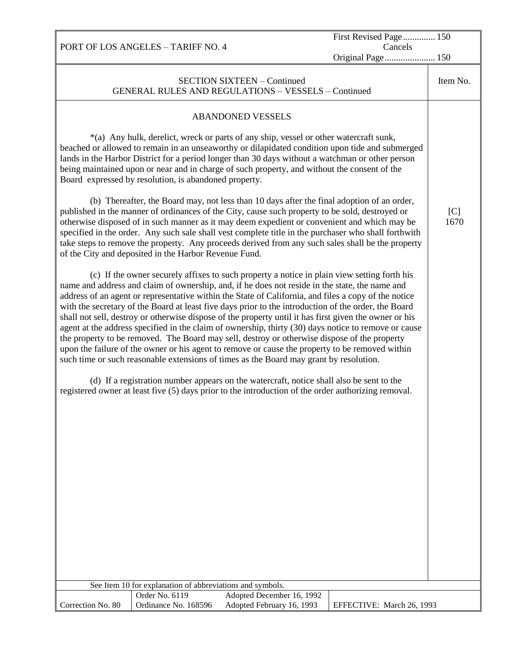|                   |                                                           |                                                                                                                                                                                                                                                                                                                                                                                                                                                                                                                                                                                                                                                                                                                                                                                                                                                                                                                                                                                                                                                                                                                                 | First Revised Page 150    |             |
|-------------------|-----------------------------------------------------------|---------------------------------------------------------------------------------------------------------------------------------------------------------------------------------------------------------------------------------------------------------------------------------------------------------------------------------------------------------------------------------------------------------------------------------------------------------------------------------------------------------------------------------------------------------------------------------------------------------------------------------------------------------------------------------------------------------------------------------------------------------------------------------------------------------------------------------------------------------------------------------------------------------------------------------------------------------------------------------------------------------------------------------------------------------------------------------------------------------------------------------|---------------------------|-------------|
|                   | PORT OF LOS ANGELES - TARIFF NO. 4                        |                                                                                                                                                                                                                                                                                                                                                                                                                                                                                                                                                                                                                                                                                                                                                                                                                                                                                                                                                                                                                                                                                                                                 | Cancels                   |             |
|                   |                                                           |                                                                                                                                                                                                                                                                                                                                                                                                                                                                                                                                                                                                                                                                                                                                                                                                                                                                                                                                                                                                                                                                                                                                 | Original Page 150         |             |
|                   |                                                           | <b>SECTION SIXTEEN - Continued</b><br><b>GENERAL RULES AND REGULATIONS - VESSELS - Continued</b>                                                                                                                                                                                                                                                                                                                                                                                                                                                                                                                                                                                                                                                                                                                                                                                                                                                                                                                                                                                                                                |                           | Item No.    |
|                   |                                                           | <b>ABANDONED VESSELS</b>                                                                                                                                                                                                                                                                                                                                                                                                                                                                                                                                                                                                                                                                                                                                                                                                                                                                                                                                                                                                                                                                                                        |                           |             |
|                   | Board expressed by resolution, is abandoned property.     | *(a) Any hulk, derelict, wreck or parts of any ship, vessel or other watercraft sunk,<br>beached or allowed to remain in an unseaworthy or dilapidated condition upon tide and submerged<br>lands in the Harbor District for a period longer than 30 days without a watchman or other person<br>being maintained upon or near and in charge of such property, and without the consent of the                                                                                                                                                                                                                                                                                                                                                                                                                                                                                                                                                                                                                                                                                                                                    |                           |             |
|                   | of the City and deposited in the Harbor Revenue Fund.     | (b) Thereafter, the Board may, not less than 10 days after the final adoption of an order,<br>published in the manner of ordinances of the City, cause such property to be sold, destroyed or<br>otherwise disposed of in such manner as it may deem expedient or convenient and which may be<br>specified in the order. Any such sale shall vest complete title in the purchaser who shall forthwith<br>take steps to remove the property. Any proceeds derived from any such sales shall be the property                                                                                                                                                                                                                                                                                                                                                                                                                                                                                                                                                                                                                      |                           | [C]<br>1670 |
|                   |                                                           | (c) If the owner securely affixes to such property a notice in plain view setting forth his<br>name and address and claim of ownership, and, if he does not reside in the state, the name and<br>address of an agent or representative within the State of California, and files a copy of the notice<br>with the secretary of the Board at least five days prior to the introduction of the order, the Board<br>shall not sell, destroy or otherwise dispose of the property until it has first given the owner or his<br>agent at the address specified in the claim of ownership, thirty (30) days notice to remove or cause<br>the property to be removed. The Board may sell, destroy or otherwise dispose of the property<br>upon the failure of the owner or his agent to remove or cause the property to be removed within<br>such time or such reasonable extensions of times as the Board may grant by resolution.<br>(d) If a registration number appears on the watercraft, notice shall also be sent to the<br>registered owner at least five (5) days prior to the introduction of the order authorizing removal. |                           |             |
|                   | See Item 10 for explanation of abbreviations and symbols. |                                                                                                                                                                                                                                                                                                                                                                                                                                                                                                                                                                                                                                                                                                                                                                                                                                                                                                                                                                                                                                                                                                                                 |                           |             |
|                   | Order No. 6119                                            | Adopted December 16, 1992                                                                                                                                                                                                                                                                                                                                                                                                                                                                                                                                                                                                                                                                                                                                                                                                                                                                                                                                                                                                                                                                                                       |                           |             |
| Correction No. 80 | Ordinance No. 168596                                      | Adopted February 16, 1993                                                                                                                                                                                                                                                                                                                                                                                                                                                                                                                                                                                                                                                                                                                                                                                                                                                                                                                                                                                                                                                                                                       | EFFECTIVE: March 26, 1993 |             |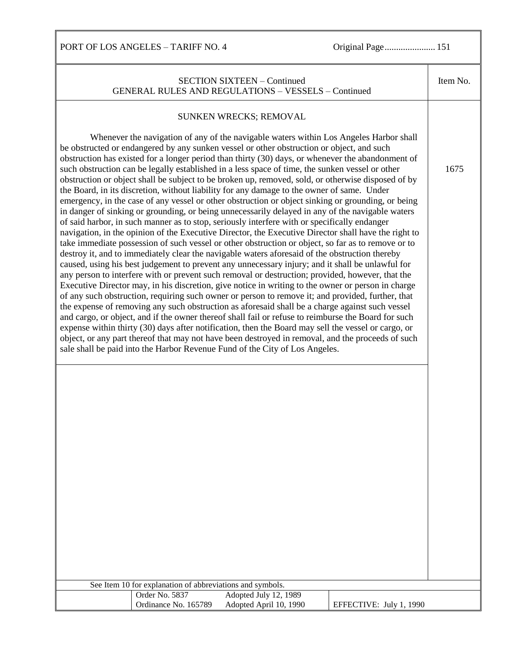Ш

| <b>SECTION SIXTEEN - Continued</b><br><b>GENERAL RULES AND REGULATIONS - VESSELS - Continued</b>                                                                                                                                                                                                                                                                                                                                                                                                                                                                                                                                                                                                                                                                                                                                                                                                                                                                                                                                                                                                                                                                                                                                                                                                                                                                                                                                                                                                                                                                                                                                                                                                                                                                                                                                                                                                                                                                                                                                                                                                                                                  | Item No. |
|---------------------------------------------------------------------------------------------------------------------------------------------------------------------------------------------------------------------------------------------------------------------------------------------------------------------------------------------------------------------------------------------------------------------------------------------------------------------------------------------------------------------------------------------------------------------------------------------------------------------------------------------------------------------------------------------------------------------------------------------------------------------------------------------------------------------------------------------------------------------------------------------------------------------------------------------------------------------------------------------------------------------------------------------------------------------------------------------------------------------------------------------------------------------------------------------------------------------------------------------------------------------------------------------------------------------------------------------------------------------------------------------------------------------------------------------------------------------------------------------------------------------------------------------------------------------------------------------------------------------------------------------------------------------------------------------------------------------------------------------------------------------------------------------------------------------------------------------------------------------------------------------------------------------------------------------------------------------------------------------------------------------------------------------------------------------------------------------------------------------------------------------------|----------|
|                                                                                                                                                                                                                                                                                                                                                                                                                                                                                                                                                                                                                                                                                                                                                                                                                                                                                                                                                                                                                                                                                                                                                                                                                                                                                                                                                                                                                                                                                                                                                                                                                                                                                                                                                                                                                                                                                                                                                                                                                                                                                                                                                   |          |
| SUNKEN WRECKS; REMOVAL                                                                                                                                                                                                                                                                                                                                                                                                                                                                                                                                                                                                                                                                                                                                                                                                                                                                                                                                                                                                                                                                                                                                                                                                                                                                                                                                                                                                                                                                                                                                                                                                                                                                                                                                                                                                                                                                                                                                                                                                                                                                                                                            |          |
| Whenever the navigation of any of the navigable waters within Los Angeles Harbor shall<br>be obstructed or endangered by any sunken vessel or other obstruction or object, and such<br>obstruction has existed for a longer period than thirty (30) days, or whenever the abandonment of<br>such obstruction can be legally established in a less space of time, the sunken vessel or other<br>obstruction or object shall be subject to be broken up, removed, sold, or otherwise disposed of by<br>the Board, in its discretion, without liability for any damage to the owner of same. Under<br>emergency, in the case of any vessel or other obstruction or object sinking or grounding, or being<br>in danger of sinking or grounding, or being unnecessarily delayed in any of the navigable waters<br>of said harbor, in such manner as to stop, seriously interfere with or specifically endanger<br>navigation, in the opinion of the Executive Director, the Executive Director shall have the right to<br>take immediate possession of such vessel or other obstruction or object, so far as to remove or to<br>destroy it, and to immediately clear the navigable waters aforesaid of the obstruction thereby<br>caused, using his best judgement to prevent any unnecessary injury; and it shall be unlawful for<br>any person to interfere with or prevent such removal or destruction; provided, however, that the<br>Executive Director may, in his discretion, give notice in writing to the owner or person in charge<br>of any such obstruction, requiring such owner or person to remove it; and provided, further, that<br>the expense of removing any such obstruction as aforesaid shall be a charge against such vessel<br>and cargo, or object, and if the owner thereof shall fail or refuse to reimburse the Board for such<br>expense within thirty (30) days after notification, then the Board may sell the vessel or cargo, or<br>object, or any part thereof that may not have been destroyed in removal, and the proceeds of such<br>sale shall be paid into the Harbor Revenue Fund of the City of Los Angeles. | 1675     |
|                                                                                                                                                                                                                                                                                                                                                                                                                                                                                                                                                                                                                                                                                                                                                                                                                                                                                                                                                                                                                                                                                                                                                                                                                                                                                                                                                                                                                                                                                                                                                                                                                                                                                                                                                                                                                                                                                                                                                                                                                                                                                                                                                   |          |
|                                                                                                                                                                                                                                                                                                                                                                                                                                                                                                                                                                                                                                                                                                                                                                                                                                                                                                                                                                                                                                                                                                                                                                                                                                                                                                                                                                                                                                                                                                                                                                                                                                                                                                                                                                                                                                                                                                                                                                                                                                                                                                                                                   |          |
|                                                                                                                                                                                                                                                                                                                                                                                                                                                                                                                                                                                                                                                                                                                                                                                                                                                                                                                                                                                                                                                                                                                                                                                                                                                                                                                                                                                                                                                                                                                                                                                                                                                                                                                                                                                                                                                                                                                                                                                                                                                                                                                                                   |          |
|                                                                                                                                                                                                                                                                                                                                                                                                                                                                                                                                                                                                                                                                                                                                                                                                                                                                                                                                                                                                                                                                                                                                                                                                                                                                                                                                                                                                                                                                                                                                                                                                                                                                                                                                                                                                                                                                                                                                                                                                                                                                                                                                                   |          |
|                                                                                                                                                                                                                                                                                                                                                                                                                                                                                                                                                                                                                                                                                                                                                                                                                                                                                                                                                                                                                                                                                                                                                                                                                                                                                                                                                                                                                                                                                                                                                                                                                                                                                                                                                                                                                                                                                                                                                                                                                                                                                                                                                   |          |
|                                                                                                                                                                                                                                                                                                                                                                                                                                                                                                                                                                                                                                                                                                                                                                                                                                                                                                                                                                                                                                                                                                                                                                                                                                                                                                                                                                                                                                                                                                                                                                                                                                                                                                                                                                                                                                                                                                                                                                                                                                                                                                                                                   |          |
|                                                                                                                                                                                                                                                                                                                                                                                                                                                                                                                                                                                                                                                                                                                                                                                                                                                                                                                                                                                                                                                                                                                                                                                                                                                                                                                                                                                                                                                                                                                                                                                                                                                                                                                                                                                                                                                                                                                                                                                                                                                                                                                                                   |          |
|                                                                                                                                                                                                                                                                                                                                                                                                                                                                                                                                                                                                                                                                                                                                                                                                                                                                                                                                                                                                                                                                                                                                                                                                                                                                                                                                                                                                                                                                                                                                                                                                                                                                                                                                                                                                                                                                                                                                                                                                                                                                                                                                                   |          |
|                                                                                                                                                                                                                                                                                                                                                                                                                                                                                                                                                                                                                                                                                                                                                                                                                                                                                                                                                                                                                                                                                                                                                                                                                                                                                                                                                                                                                                                                                                                                                                                                                                                                                                                                                                                                                                                                                                                                                                                                                                                                                                                                                   |          |
|                                                                                                                                                                                                                                                                                                                                                                                                                                                                                                                                                                                                                                                                                                                                                                                                                                                                                                                                                                                                                                                                                                                                                                                                                                                                                                                                                                                                                                                                                                                                                                                                                                                                                                                                                                                                                                                                                                                                                                                                                                                                                                                                                   |          |
|                                                                                                                                                                                                                                                                                                                                                                                                                                                                                                                                                                                                                                                                                                                                                                                                                                                                                                                                                                                                                                                                                                                                                                                                                                                                                                                                                                                                                                                                                                                                                                                                                                                                                                                                                                                                                                                                                                                                                                                                                                                                                                                                                   |          |
|                                                                                                                                                                                                                                                                                                                                                                                                                                                                                                                                                                                                                                                                                                                                                                                                                                                                                                                                                                                                                                                                                                                                                                                                                                                                                                                                                                                                                                                                                                                                                                                                                                                                                                                                                                                                                                                                                                                                                                                                                                                                                                                                                   |          |
| See Item 10 for explanation of abbreviations and symbols.                                                                                                                                                                                                                                                                                                                                                                                                                                                                                                                                                                                                                                                                                                                                                                                                                                                                                                                                                                                                                                                                                                                                                                                                                                                                                                                                                                                                                                                                                                                                                                                                                                                                                                                                                                                                                                                                                                                                                                                                                                                                                         |          |
| Order No. 5837<br>Adopted July 12, 1989<br>Ordinance No. 165789<br>Adopted April 10, 1990<br>EFFECTIVE: July 1, 1990                                                                                                                                                                                                                                                                                                                                                                                                                                                                                                                                                                                                                                                                                                                                                                                                                                                                                                                                                                                                                                                                                                                                                                                                                                                                                                                                                                                                                                                                                                                                                                                                                                                                                                                                                                                                                                                                                                                                                                                                                              |          |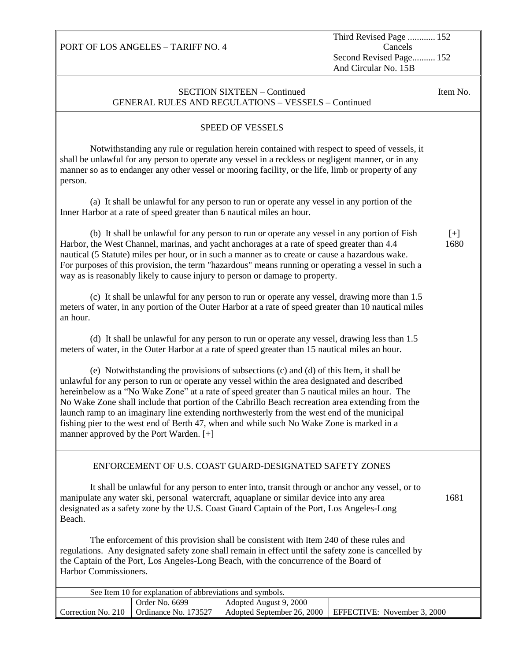PORT OF LOS ANGELES – TARIFF NO. 4

Third Revised Page ............ 152 Cancels Second Revised Page.......... 152 And Circular No. 15B

| <b>SECTION SIXTEEN - Continued</b><br><b>GENERAL RULES AND REGULATIONS - VESSELS - Continued</b>                                                                                                                                                                                                                                                                                                                                                                                                                                                                                                                                     |               |  |  |
|--------------------------------------------------------------------------------------------------------------------------------------------------------------------------------------------------------------------------------------------------------------------------------------------------------------------------------------------------------------------------------------------------------------------------------------------------------------------------------------------------------------------------------------------------------------------------------------------------------------------------------------|---------------|--|--|
| <b>SPEED OF VESSELS</b>                                                                                                                                                                                                                                                                                                                                                                                                                                                                                                                                                                                                              |               |  |  |
| Notwithstanding any rule or regulation herein contained with respect to speed of vessels, it<br>shall be unlawful for any person to operate any vessel in a reckless or negligent manner, or in any<br>manner so as to endanger any other vessel or mooring facility, or the life, limb or property of any<br>person.                                                                                                                                                                                                                                                                                                                |               |  |  |
| (a) It shall be unlawful for any person to run or operate any vessel in any portion of the<br>Inner Harbor at a rate of speed greater than 6 nautical miles an hour.                                                                                                                                                                                                                                                                                                                                                                                                                                                                 |               |  |  |
| (b) It shall be unlawful for any person to run or operate any vessel in any portion of Fish<br>Harbor, the West Channel, marinas, and yacht anchorages at a rate of speed greater than 4.4<br>nautical (5 Statute) miles per hour, or in such a manner as to create or cause a hazardous wake.<br>For purposes of this provision, the term "hazardous" means running or operating a vessel in such a<br>way as is reasonably likely to cause injury to person or damage to property.                                                                                                                                                 | $[+]$<br>1680 |  |  |
| (c) It shall be unlawful for any person to run or operate any vessel, drawing more than 1.5<br>meters of water, in any portion of the Outer Harbor at a rate of speed greater than 10 nautical miles<br>an hour.                                                                                                                                                                                                                                                                                                                                                                                                                     |               |  |  |
| (d) It shall be unlawful for any person to run or operate any vessel, drawing less than 1.5<br>meters of water, in the Outer Harbor at a rate of speed greater than 15 nautical miles an hour.                                                                                                                                                                                                                                                                                                                                                                                                                                       |               |  |  |
| (e) Notwithstanding the provisions of subsections (c) and (d) of this Item, it shall be<br>unlawful for any person to run or operate any vessel within the area designated and described<br>hereinbelow as a "No Wake Zone" at a rate of speed greater than 5 nautical miles an hour. The<br>No Wake Zone shall include that portion of the Cabrillo Beach recreation area extending from the<br>launch ramp to an imaginary line extending northwesterly from the west end of the municipal<br>fishing pier to the west end of Berth 47, when and while such No Wake Zone is marked in a<br>manner approved by the Port Warden. [+] |               |  |  |
| ENFORCEMENT OF U.S. COAST GUARD-DESIGNATED SAFETY ZONES                                                                                                                                                                                                                                                                                                                                                                                                                                                                                                                                                                              |               |  |  |
| It shall be unlawful for any person to enter into, transit through or anchor any vessel, or to<br>manipulate any water ski, personal watercraft, aquaplane or similar device into any area<br>designated as a safety zone by the U.S. Coast Guard Captain of the Port, Los Angeles-Long<br>Beach.                                                                                                                                                                                                                                                                                                                                    |               |  |  |
| The enforcement of this provision shall be consistent with Item 240 of these rules and<br>regulations. Any designated safety zone shall remain in effect until the safety zone is cancelled by<br>the Captain of the Port, Los Angeles-Long Beach, with the concurrence of the Board of<br>Harbor Commissioners.                                                                                                                                                                                                                                                                                                                     |               |  |  |
| See Item 10 for explanation of abbreviations and symbols.                                                                                                                                                                                                                                                                                                                                                                                                                                                                                                                                                                            |               |  |  |
| Order No. 6699<br>Adopted August 9, 2000<br>Ordinance No. 173527<br>Adopted September 26, 2000<br>Correction No. 210<br>EFFECTIVE: November 3, 2000                                                                                                                                                                                                                                                                                                                                                                                                                                                                                  |               |  |  |